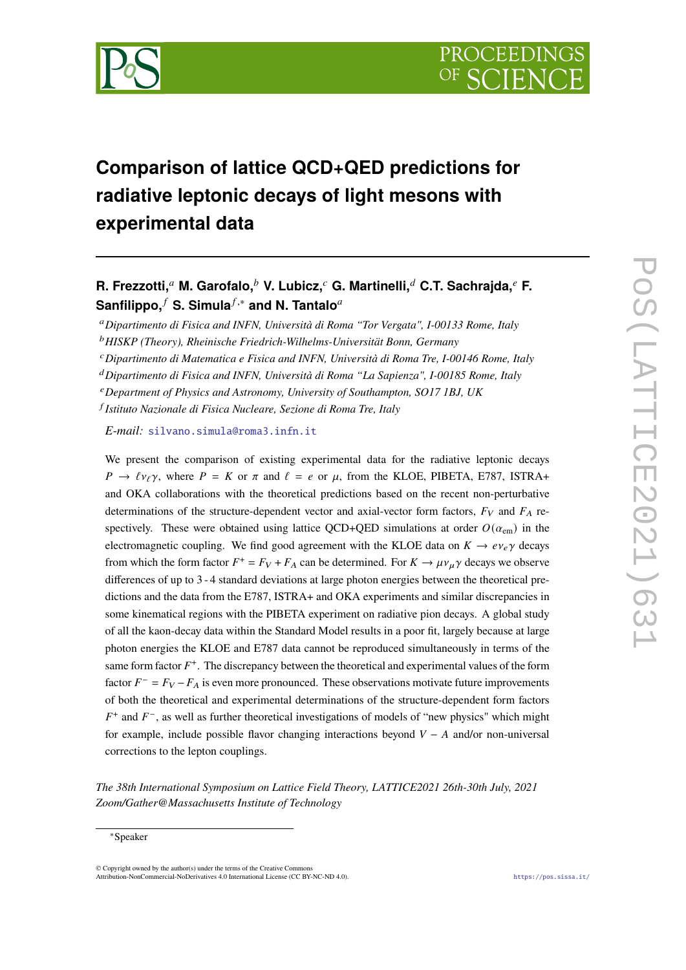

# **Comparison of lattice QCD+QED predictions for radiative leptonic decays of light mesons with experimental data**

## **R. Frezzotti, M. Garofalo, V. Lubicz, G. Martinelli, C.T. Sachrajda, F. Sanfilippo,<sup>***f***</sup> S. Simula<sup>***f***,∗</sup> and N. Tantalo<sup>***a***</sup>**

*Dipartimento di Fisica and INFN, Università di Roma "Tor Vergata", I-00133 Rome, Italy*

*HISKP (Theory), Rheinische Friedrich-Wilhelms-Universität Bonn, Germany*

*Dipartimento di Matematica e Fisica and INFN, Università di Roma Tre, I-00146 Rome, Italy*

*Dipartimento di Fisica and INFN, Università di Roma "La Sapienza", I-00185 Rome, Italy*

*Department of Physics and Astronomy, University of Southampton, SO17 1BJ, UK*

*Istituto Nazionale di Fisica Nucleare, Sezione di Roma Tre, Italy*

*E-mail:* [silvano.simula@roma3.infn.it](mailto:silvano.simula@roma3.infn.it)

We present the comparison of existing experimental data for the radiative leptonic decays  $P \rightarrow \ell v_{\ell} \gamma$ , where  $P = K$  or  $\pi$  and  $\ell = e$  or  $\mu$ , from the KLOE, PIBETA, E787, ISTRA+ and OKA collaborations with the theoretical predictions based on the recent non-perturbative determinations of the structure-dependent vector and axial-vector form factors,  $F_V$  and  $F_A$  respectively. These were obtained using lattice QCD+QED simulations at order  $O(\alpha_{\rm em})$  in the electromagnetic coupling. We find good agreement with the KLOE data on  $K \to e \nu_e \gamma$  decays from which the form factor  $F^+ = F_V + F_A$  can be determined. For  $K \to \mu \nu_\mu \gamma$  decays we observe differences of up to 3 - 4 standard deviations at large photon energies between the theoretical predictions and the data from the E787, ISTRA+ and OKA experiments and similar discrepancies in some kinematical regions with the PIBETA experiment on radiative pion decays. A global study of all the kaon-decay data within the Standard Model results in a poor fit, largely because at large photon energies the KLOE and E787 data cannot be reproduced simultaneously in terms of the same form factor  $F^+$ . The discrepancy between the theoretical and experimental values of the form factor  $F^- = F_V - F_A$  is even more pronounced. These observations motivate future improvements of both the theoretical and experimental determinations of the structure-dependent form factors  $F^+$  and  $F^-$ , as well as further theoretical investigations of models of "new physics" which might for example, include possible flavor changing interactions beyond  $V - A$  and/or non-universal corrections to the lepton couplings.

*The 38th International Symposium on Lattice Field Theory, LATTICE2021 26th-30th July, 2021 Zoom/Gather@Massachusetts Institute of Technology*

© Copyright owned by the author(s) under the terms of the Creative Commons Attribution-NonCommercial-NoDerivatives 4.0 International License (CC BY-NC-ND 4.0). <https://pos.sissa.it/>

<sup>∗</sup>Speaker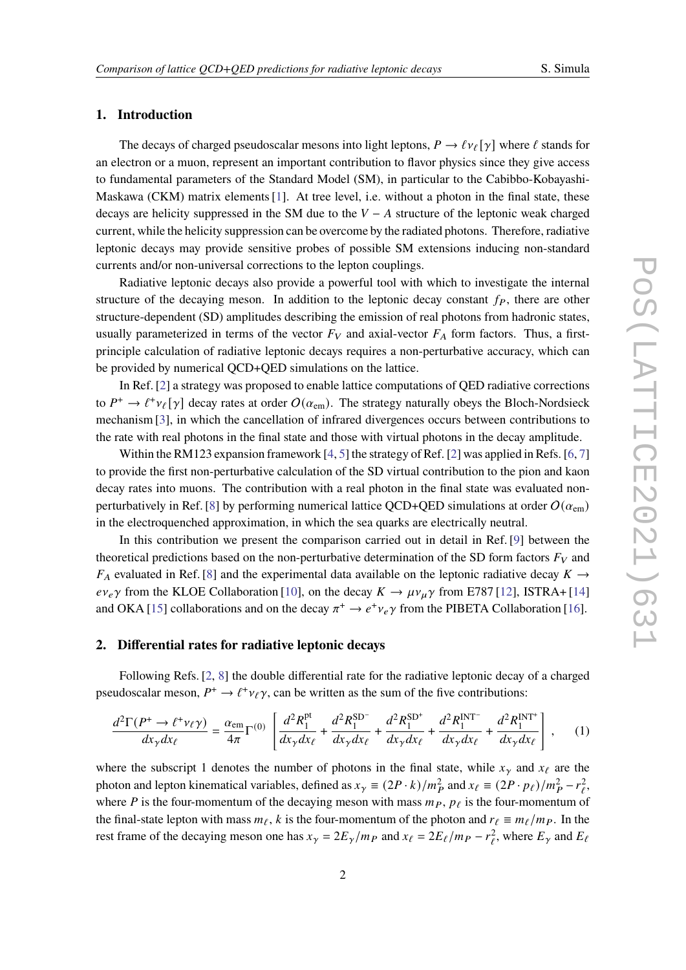#### **1. Introduction**

The decays of charged pseudoscalar mesons into light leptons,  $P \to \ell \nu_{\ell}[\gamma]$  where  $\ell$  stands for an electron or a muon, represent an important contribution to flavor physics since they give access to fundamental parameters of the Standard Model (SM), in particular to the Cabibbo-Kobayashi-Maskawa (CKM) matrix elements [\[1\]](#page-10-0). At tree level, i.e. without a photon in the final state, these decays are helicity suppressed in the SM due to the  $V - A$  structure of the leptonic weak charged current, while the helicity suppression can be overcome by the radiated photons. Therefore, radiative leptonic decays may provide sensitive probes of possible SM extensions inducing non-standard currents and/or non-universal corrections to the lepton couplings.

Radiative leptonic decays also provide a powerful tool with which to investigate the internal structure of the decaying meson. In addition to the leptonic decay constant  $f<sub>P</sub>$ , there are other structure-dependent (SD) amplitudes describing the emission of real photons from hadronic states, usually parameterized in terms of the vector  $F_V$  and axial-vector  $F_A$  form factors. Thus, a firstprinciple calculation of radiative leptonic decays requires a non-perturbative accuracy, which can be provided by numerical QCD+QED simulations on the lattice.

In Ref. [\[2\]](#page-10-1) a strategy was proposed to enable lattice computations of QED radiative corrections to  $P^+ \to \ell^+ \nu_\ell[\gamma]$  decay rates at order  $O(\alpha_{\rm em})$ . The strategy naturally obeys the Bloch-Nordsieck mechanism [\[3\]](#page-10-2), in which the cancellation of infrared divergences occurs between contributions to the rate with real photons in the final state and those with virtual photons in the decay amplitude.

Within the RM123 expansion framework  $[4, 5]$  $[4, 5]$  $[4, 5]$  the strategy of Ref. [\[2\]](#page-10-1) was applied in Refs. [\[6,](#page-10-5) [7\]](#page-10-6) to provide the first non-perturbative calculation of the SD virtual contribution to the pion and kaon decay rates into muons. The contribution with a real photon in the final state was evaluated non-perturbatively in Ref. [\[8\]](#page-10-7) by performing numerical lattice OCD+QED simulations at order  $O(\alpha<sub>em</sub>)$ in the electroquenched approximation, in which the sea quarks are electrically neutral.

In this contribution we present the comparison carried out in detail in Ref. [\[9\]](#page-10-8) between the theoretical predictions based on the non-perturbative determination of the SD form factors  $F_V$  and  $F_A$  evaluated in Ref. [\[8\]](#page-10-7) and the experimental data available on the leptonic radiative decay  $K \rightarrow$  $ev_e\gamma$  from the KLOE Collaboration [\[10\]](#page-10-9), on the decay  $K \to \mu v_\mu \gamma$  from E787 [\[12\]](#page-10-10), ISTRA+ [\[14\]](#page-10-11) and OKA [\[15\]](#page-10-12) collaborations and on the decay  $\pi^+ \to e^+ \nu_e \gamma$  from the PIBETA Collaboration [\[16\]](#page-10-13).

#### **2. Differential rates for radiative leptonic decays**

Following Refs. [\[2,](#page-10-1) [8\]](#page-10-7) the double differential rate for the radiative leptonic decay of a charged pseudoscalar meson,  $P^+ \to \ell^+ \nu_\ell \gamma$ , can be written as the sum of the five contributions:

<span id="page-1-0"></span>
$$
\frac{d^2\Gamma(P^+\to\ell^+\nu_\ell\gamma)}{dx_\gamma dx_\ell} = \frac{\alpha_{\rm em}}{4\pi} \Gamma^{(0)} \left[ \frac{d^2R_1^{\rm pt}}{dx_\gamma dx_\ell} + \frac{d^2R_1^{\rm SD^-}}{dx_\gamma dx_\ell} + \frac{d^2R_1^{\rm SD^+}}{dx_\gamma dx_\ell} + \frac{d^2R_1^{\rm INT^-}}{dx_\gamma dx_\ell} + \frac{d^2R_1^{\rm INT^-}}{dx_\gamma dx_\ell} \right], \quad (1)
$$

where the subscript 1 denotes the number of photons in the final state, while  $x<sub>\gamma</sub>$  and  $x<sub>\ell</sub>$  are the photon and lepton kinematical variables, defined as  $x_{\gamma} \equiv (2P \cdot k)/m_P^2$  and  $x_{\ell} \equiv (2P \cdot p_{\ell})/m_P^2 - r_{\ell}^2$ , where P is the four-momentum of the decaying meson with mass  $m<sub>P</sub>$ ,  $p<sub>\ell</sub>$  is the four-momentum of the final-state lepton with mass  $m_\ell$ , k is the four-momentum of the photon and  $r_\ell \equiv m_\ell/m_P$ . In the rest frame of the decaying meson one has  $x_{\gamma} = 2E_{\gamma}/m_P$  and  $x_{\ell} = 2E_{\ell}/m_P - r_{\ell}^2$ , where  $E_{\gamma}$  and  $E_{\ell}$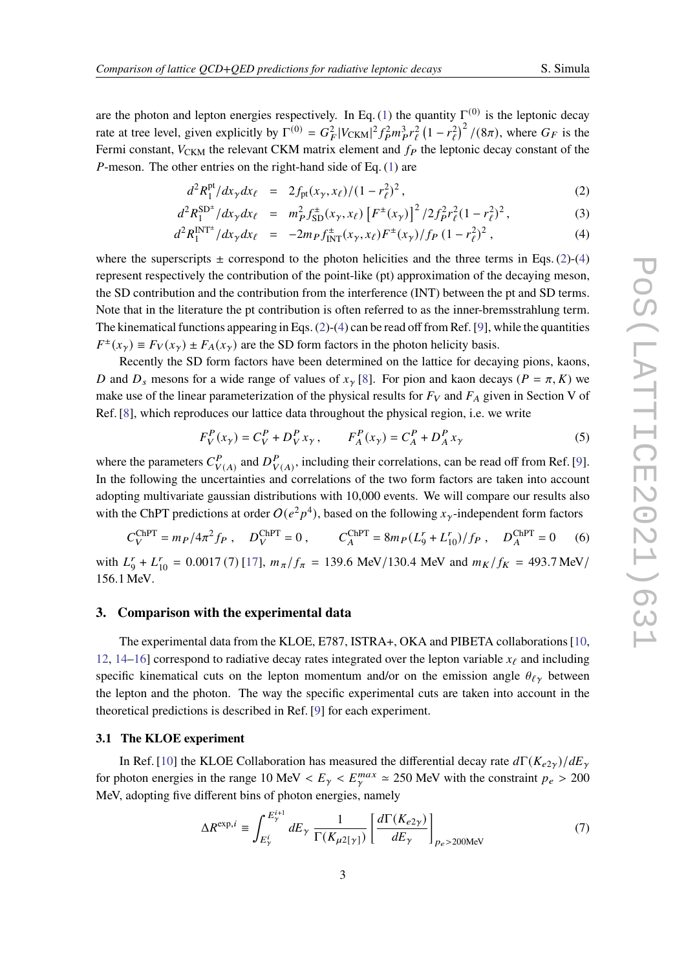are the photon and lepton energies respectively. In Eq. [\(1\)](#page-1-0) the quantity  $\Gamma^{(0)}$  is the leptonic decay rate at tree level, given explicitly by  $\Gamma^{(0)} = G_F^2 |V_{CKM}|^2 f_P^2 m_P^3 r_\ell^2 (1 - r_\ell^2)^2 / (8\pi)$ , where  $G_F$  is the Fermi constant,  $V_{CKM}$  the relevant CKM matrix element and  $f_P$  the leptonic decay constant of the *P*-meson. The other entries on the right-hand side of Eq.  $(1)$  are

<span id="page-2-0"></span>
$$
d^2 R_1^{\text{pt}} / dx_\gamma dx_\ell = 2f_{\text{pt}}(x_\gamma, x_\ell) / (1 - r_\ell^2)^2, \qquad (2)
$$

$$
d^2 R_1^{\text{SD}^{\pm}} / dx_{\gamma} dx_{\ell} = m_P^2 f_{\text{SD}}^{\pm}(x_{\gamma}, x_{\ell}) \left[ F^{\pm}(x_{\gamma}) \right]^2 / 2 f_P^2 r_{\ell}^2 (1 - r_{\ell}^2)^2, \tag{3}
$$

$$
d^2 R_1^{\text{INT}^\pm} / dx_\gamma dx_\ell = -2m_P f_{\text{INT}}^\pm(x_\gamma, x_\ell) F^\pm(x_\gamma) / f_P (1 - r_\ell^2)^2 , \qquad (4)
$$

where the superscripts  $\pm$  correspond to the photon helicities and the three terms in Eqs. [\(2\)](#page-2-0)-[\(4\)](#page-2-0) represent respectively the contribution of the point-like (pt) approximation of the decaying meson, the SD contribution and the contribution from the interference (INT) between the pt and SD terms. Note that in the literature the pt contribution is often referred to as the inner-bremsstrahlung term. The kinematical functions appearing in Eqs. [\(2\)](#page-2-0)-[\(4\)](#page-2-0) can be read off from Ref. [\[9\]](#page-10-8), while the quantities  $F^{\pm}(x_{\gamma}) \equiv F_V(x_{\gamma}) \pm F_A(x_{\gamma})$  are the SD form factors in the photon helicity basis.

Recently the SD form factors have been determined on the lattice for decaying pions, kaons, D and  $D_s$  mesons for a wide range of values of  $x<sub>y</sub>$  [\[8\]](#page-10-7). For pion and kaon decays ( $P = \pi$ , K) we make use of the linear parameterization of the physical results for  $F_V$  and  $F_A$  given in Section V of Ref. [\[8\]](#page-10-7), which reproduces our lattice data throughout the physical region, i.e. we write

<span id="page-2-1"></span>
$$
F_V^P(x_\gamma) = C_V^P + D_V^P x_\gamma, \qquad F_A^P(x_\gamma) = C_A^P + D_A^P x_\gamma
$$
 (5)

where the parameters  $C_V^P$  $\bigvee_{V(A)}^P$  and  $D_V^P$  $_{V(A)}^P$ , including their correlations, can be read off from Ref. [\[9\]](#page-10-8). In the following the uncertainties and correlations of the two form factors are taken into account adopting multivariate gaussian distributions with 10,000 events. We will compare our results also with the ChPT predictions at order  $O(e^2p^4)$ , based on the following  $x_\gamma$ -independent form factors

<span id="page-2-2"></span>
$$
C_V^{\text{ChPT}} = m_P / 4\pi^2 f_P , \quad D_V^{\text{ChPT}} = 0 , \qquad C_A^{\text{ChPT}} = 8m_P (L_9^r + L_{10}^r) / f_P , \quad D_A^{\text{ChPT}} = 0 \tag{6}
$$

with  $L_0^r$  $J_9^r + L_{10}^r = 0.0017(7)$  [\[17\]](#page-10-14),  $m_\pi/f_\pi = 139.6$  MeV/130.4 MeV and  $m_K/f_K = 493.7$  MeV/ 156.1 MeV.

#### **3. Comparison with the experimental data**

The experimental data from the KLOE, E787, ISTRA+, OKA and PIBETA collaborations [\[10,](#page-10-9) [12,](#page-10-10) [14–](#page-10-11)[16\]](#page-10-13) correspond to radiative decay rates integrated over the lepton variable  $x_{\ell}$  and including specific kinematical cuts on the lepton momentum and/or on the emission angle  $\theta_{\ell \gamma}$  between the lepton and the photon. The way the specific experimental cuts are taken into account in the theoretical predictions is described in Ref. [\[9\]](#page-10-8) for each experiment.

#### <span id="page-2-3"></span>**3.1 The KLOE experiment**

In Ref. [\[10\]](#page-10-9) the KLOE Collaboration has measured the differential decay rate  $d\Gamma(K_{e2y})/dE_y$ for photon energies in the range 10 MeV  $\langle E_\gamma \rangle \langle E_\gamma^{max} \rangle \approx 250$  MeV with the constraint  $p_e > 200$ MeV, adopting five different bins of photon energies, namely

$$
\Delta R^{\exp,i} \equiv \int_{E_{\gamma}^{i}}^{E_{\gamma}^{i+1}} dE_{\gamma} \frac{1}{\Gamma(K_{\mu 2[\gamma]})} \left[ \frac{d\Gamma(K_{e2\gamma})}{dE_{\gamma}} \right]_{\text{p}_e > 200 \text{MeV}} \tag{7}
$$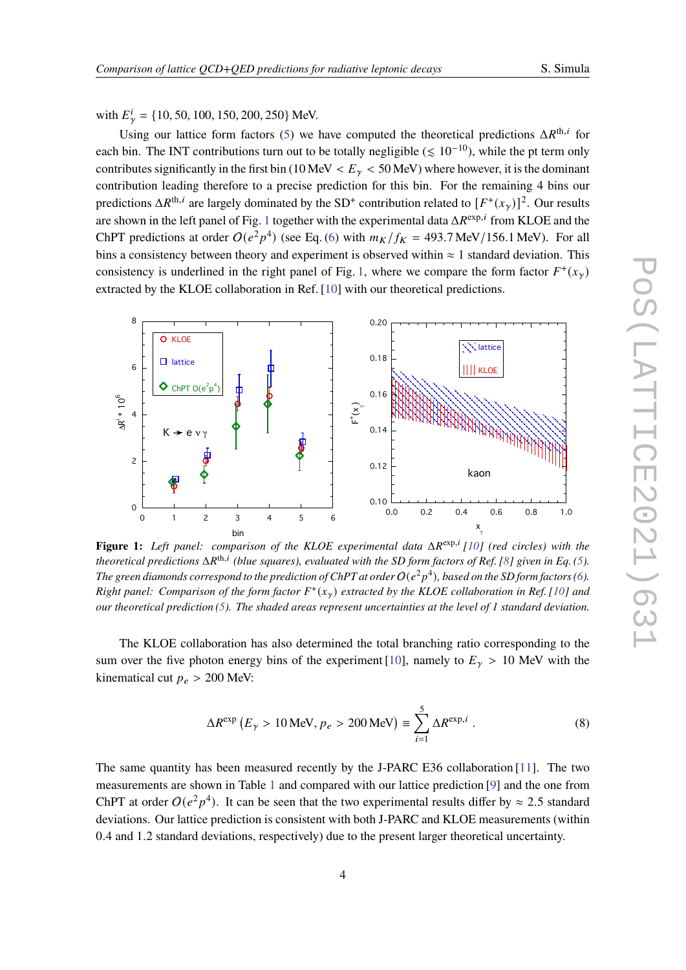with  $E^i_{\gamma} = \{10, 50, 100, 150, 200, 250\}$  MeV.

Using our lattice form factors [\(5\)](#page-2-1) we have computed the theoretical predictions  $\Delta R^{th,i}$  for each bin. The INT contributions turn out to be totally negligible ( $\leq 10^{-10}$ ), while the pt term only contributes significantly in the first bin (10 MeV  $\lt E_\gamma \lt 50$  MeV) where however, it is the dominant contribution leading therefore to a precise prediction for this bin. For the remaining 4 bins our predictions  $\Delta R^{th,i}$  are largely dominated by the SD<sup>+</sup> contribution related to  $[F^+(x_\gamma)]^2$ . Our results are shown in the left panel of Fig. [1](#page-3-0) together with the experimental data  $\Delta R^{\exp,i}$  from KLOE and the ChPT predictions at order  $O(e^2p^4)$  (see Eq. [\(6\)](#page-2-2) with  $m_K/f_K = 493.7 \text{ MeV}/156.1 \text{ MeV}$ ). For all bins a consistency between theory and experiment is observed within  $\approx 1$  standard deviation. This consistency is underlined in the right panel of Fig. [1,](#page-3-0) where we compare the form factor  $F^+(x)$ extracted by the KLOE collaboration in Ref. [\[10\]](#page-10-9) with our theoretical predictions.

<span id="page-3-0"></span>

**Figure 1:** Left panel: comparison of the KLOE experimental data  $\Delta R^{\exp,i}$  [\[10\]](#page-10-9) (red circles) with the theoretical predictions  $\Delta R^{th,i}$  (blue squares), evaluated with the SD form factors of Ref. [\[8\]](#page-10-7) given in Eq. [\(5\)](#page-2-1). The green diamonds correspond to the prediction of ChPT at order  $O(e^2p^4)$ , based on the SD form factors [\(6\)](#page-2-2). *Right panel: Comparison of the form factor*  $F^+(x_\gamma)$  extracted by the KLOE collaboration in Ref. [\[10\]](#page-10-9) and *our theoretical prediction [\(5\)](#page-2-1). The shaded areas represent uncertainties at the level of 1 standard deviation.*

The KLOE collaboration has also determined the total branching ratio corresponding to the sum over the five photon energy bins of the experiment [\[10\]](#page-10-9), namely to  $E<sub>\gamma</sub> > 10$  MeV with the kinematical cut  $p_e > 200$  MeV:

$$
\Delta R^{\exp} (E_{\gamma} > 10 \,\text{MeV}, p_e > 200 \,\text{MeV}) \equiv \sum_{i=1}^{5} \Delta R^{\exp,i} . \tag{8}
$$

The same quantity has been measured recently by the J-PARC E36 collaboration [\[11\]](#page-10-15). The two measurements are shown in Table [1](#page-4-0) and compared with our lattice prediction [\[9\]](#page-10-8) and the one from ChPT at order  $O(e^2p^4)$ . It can be seen that the two experimental results differ by  $\approx 2.5$  standard deviations. Our lattice prediction is consistent with both J-PARC and KLOE measurements (within 0.4 and 1.2 standard deviations, respectively) due to the present larger theoretical uncertainty.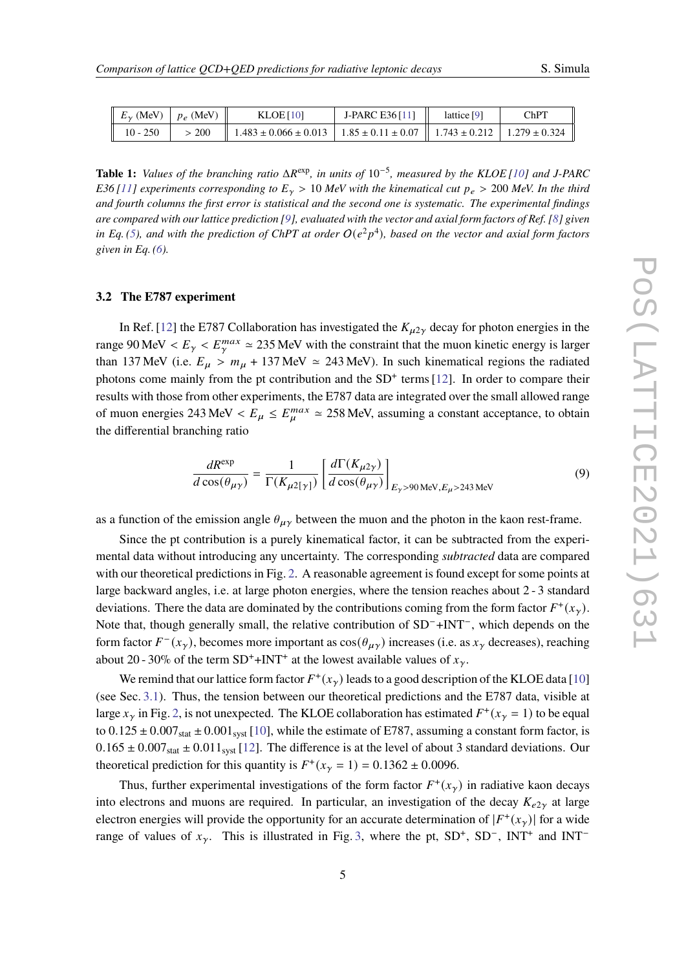<span id="page-4-0"></span>

| $\parallel E_{\gamma}$ (MeV) $\parallel p_e$ (MeV) |       | KLOE[10]                                                                                       | J-PARC E36 $[11]$ | lattice [9] | <b>ChPT</b> |
|----------------------------------------------------|-------|------------------------------------------------------------------------------------------------|-------------------|-------------|-------------|
| 10 - 250                                           | > 200 | $1.483 \pm 0.066 \pm 0.013$   $1.85 \pm 0.11 \pm 0.07$   $1.743 \pm 0.212$   $1.279 \pm 0.324$ |                   |             |             |

**Table 1:** *Values of the branching ratio* ΔR<sup>exp</sup>, *in units of* 10<sup>-5</sup>, *measured by the KLOE* [\[10\]](#page-10-9) *and J-PARC E36* [\[11\]](#page-10-15) experiments corresponding to  $E<sub>y</sub> > 10$  MeV with the kinematical cut  $p_e > 200$  MeV. In the third *and fourth columns the first error is statistical and the second one is systematic. The experimental findings are compared with our lattice prediction [\[9\]](#page-10-8), evaluated with the vector and axial form factors of Ref. [\[8\]](#page-10-7) given* in Eq. [\(5\)](#page-2-1), and with the prediction of ChPT at order  $O(e^2p^4)$ , based on the vector and axial form factors *given in Eq. [\(6\)](#page-2-2).*

#### **3.2 The E787 experiment**

In Ref. [\[12\]](#page-10-10) the E787 Collaboration has investigated the  $K_{\mu 2\gamma}$  decay for photon energies in the range 90 MeV  $\langle E_y \rangle \langle E_y^{max} \rangle \approx 235$  MeV with the constraint that the muon kinetic energy is larger than 137 MeV (i.e.  $E_{\mu} > m_{\mu} + 137$  MeV  $\simeq 243$  MeV). In such kinematical regions the radiated photons come mainly from the pt contribution and the SD<sup>+</sup> terms [\[12\]](#page-10-10). In order to compare their results with those from other experiments, the E787 data are integrated over the small allowed range of muon energies 243 MeV  $\lt E_{\mu} \le E_{\mu}^{max} \approx 258$  MeV, assuming a constant acceptance, to obtain the differential branching ratio

$$
\frac{dR^{\exp}}{d\cos(\theta_{\mu\gamma})} = \frac{1}{\Gamma(K_{\mu2[\gamma]})} \left[ \frac{d\Gamma(K_{\mu2\gamma})}{d\cos(\theta_{\mu\gamma})} \right]_{E_{\gamma} > 90 \text{ MeV}, E_{\mu} > 243 \text{ MeV}} \tag{9}
$$

as a function of the emission angle  $\theta_{\mu\gamma}$  between the muon and the photon in the kaon rest-frame.

Since the pt contribution is a purely kinematical factor, it can be subtracted from the experimental data without introducing any uncertainty. The corresponding *subtracted* data are compared with our theoretical predictions in Fig. [2.](#page-5-0) A reasonable agreement is found except for some points at large backward angles, i.e. at large photon energies, where the tension reaches about 2 - 3 standard deviations. There the data are dominated by the contributions coming from the form factor  $F^+(x_\gamma)$ . Note that, though generally small, the relative contribution of SD<sup>-</sup>+INT<sup>-</sup>, which depends on the form factor  $F^-(x_\gamma)$ , becomes more important as  $\cos(\theta_{\mu\gamma})$  increases (i.e. as  $x_\gamma$  decreases), reaching about 20 - 30% of the term SD<sup>+</sup>+INT<sup>+</sup> at the lowest available values of  $x_{\gamma}$ .

We remind that our lattice form factor  $F^+(x_\gamma)$  leads to a good description of the KLOE data [\[10\]](#page-10-9) (see Sec. [3.1\)](#page-2-3). Thus, the tension between our theoretical predictions and the E787 data, visible at large  $x_{\gamma}$  in Fig. [2,](#page-5-0) is not unexpected. The KLOE collaboration has estimated  $F^+(x_{\gamma} = 1)$  to be equal to  $0.125 \pm 0.007_{stat} \pm 0.001_{syst}$  [\[10\]](#page-10-9), while the estimate of E787, assuming a constant form factor, is  $0.165 \pm 0.007_{stat} \pm 0.011_{syst}$  [\[12\]](#page-10-10). The difference is at the level of about 3 standard deviations. Our theoretical prediction for this quantity is  $F^+(x_\gamma = 1) = 0.1362 \pm 0.0096$ .

Thus, further experimental investigations of the form factor  $F^+(x)$  in radiative kaon decays into electrons and muons are required. In particular, an investigation of the decay  $K_{e2v}$  at large electron energies will provide the opportunity for an accurate determination of  $|F^+(x_\gamma)|$  for a wide range of values of  $x_{\gamma}$ . This is illustrated in Fig. [3,](#page-6-0) where the pt, SD<sup>+</sup>, SD<sup>-</sup>, INT<sup>+</sup> and INT<sup>-</sup>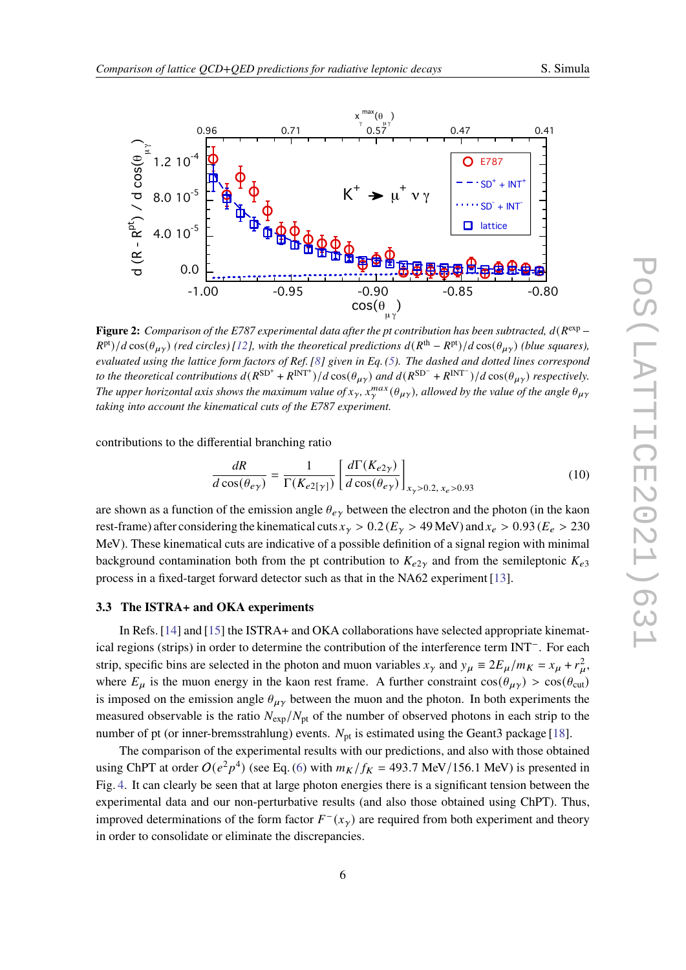

<span id="page-5-0"></span>

**Figure 2:** Comparison of the E787 experimental data after the pt contribution has been subtracted,  $d(R^{\exp} R^{pt}/d\cos(\theta_{\mu\gamma})$  (red circles) [\[12\]](#page-10-10), with the theoretical predictions  $d(R^{th} - R^{pt})/d\cos(\theta_{\mu\gamma})$  (blue squares), *evaluated using the lattice form factors of Ref. [\[8\]](#page-10-7) given in Eq. [\(5\)](#page-2-1). The dashed and dotted lines correspond to the theoretical contributions*  $d(R^{SD^+} + R^{INT^+})/d\cos(\theta_{\mu\gamma})$  and  $d(R^{SD^-} + R^{INT^-})/d\cos(\theta_{\mu\gamma})$  respectively. The upper horizontal axis shows the maximum value of  $x_\gamma$ ,  $x_\gamma^{max}(\theta_{\mu\gamma})$ , allowed by the value of the angle  $\theta_{\mu\gamma}$ *taking into account the kinematical cuts of the E787 experiment.*

contributions to the differential branching ratio

<span id="page-5-1"></span>
$$
\frac{dR}{d\cos(\theta_{e\gamma})} = \frac{1}{\Gamma(K_{e2\gamma})} \left[ \frac{d\Gamma(K_{e2\gamma})}{d\cos(\theta_{e\gamma})} \right]_{x_{\gamma} > 0.2, x_e > 0.93}
$$
(10)

are shown as a function of the emission angle  $\theta_{e\gamma}$  between the electron and the photon (in the kaon rest-frame) after considering the kinematical cuts  $x_{\gamma} > 0.2$  ( $E_{\gamma} > 49$  MeV) and  $x_e > 0.93$  ( $E_e > 230$ MeV). These kinematical cuts are indicative of a possible definition of a signal region with minimal background contamination both from the pt contribution to  $K_{e2y}$  and from the semileptonic  $K_{e3}$ process in a fixed-target forward detector such as that in the NA62 experiment [\[13\]](#page-10-16).

#### **3.3 The ISTRA+ and OKA experiments**

In Refs. [\[14\]](#page-10-11) and [\[15\]](#page-10-12) the ISTRA+ and OKA collaborations have selected appropriate kinematical regions (strips) in order to determine the contribution of the interference term INT<sup>−</sup> . For each strip, specific bins are selected in the photon and muon variables  $x_{\gamma}$  and  $y_{\mu} \equiv 2E_{\mu}/m_K = x_{\mu} + r_{\mu}^2$ , where  $E_{\mu}$  is the muon energy in the kaon rest frame. A further constraint  $cos(\theta_{\mu\gamma}) > cos(\theta_{\text{cut}})$ is imposed on the emission angle  $\theta_{\mu\nu}$  between the muon and the photon. In both experiments the measured observable is the ratio  $N_{\rm exp}/N_{\rm pt}$  of the number of observed photons in each strip to the number of pt (or inner-bremsstrahlung) events.  $N_{pt}$  is estimated using the Geant3 package [\[18\]](#page-10-17).

The comparison of the experimental results with our predictions, and also with those obtained using ChPT at order  $O(e^2p^4)$  (see Eq. [\(6\)](#page-2-2) with  $m_K/f_K = 493.7$  MeV/156.1 MeV) is presented in Fig. [4.](#page-6-1) It can clearly be seen that at large photon energies there is a significant tension between the experimental data and our non-perturbative results (and also those obtained using ChPT). Thus, improved determinations of the form factor  $F^-(x_\gamma)$  are required from both experiment and theory in order to consolidate or eliminate the discrepancies.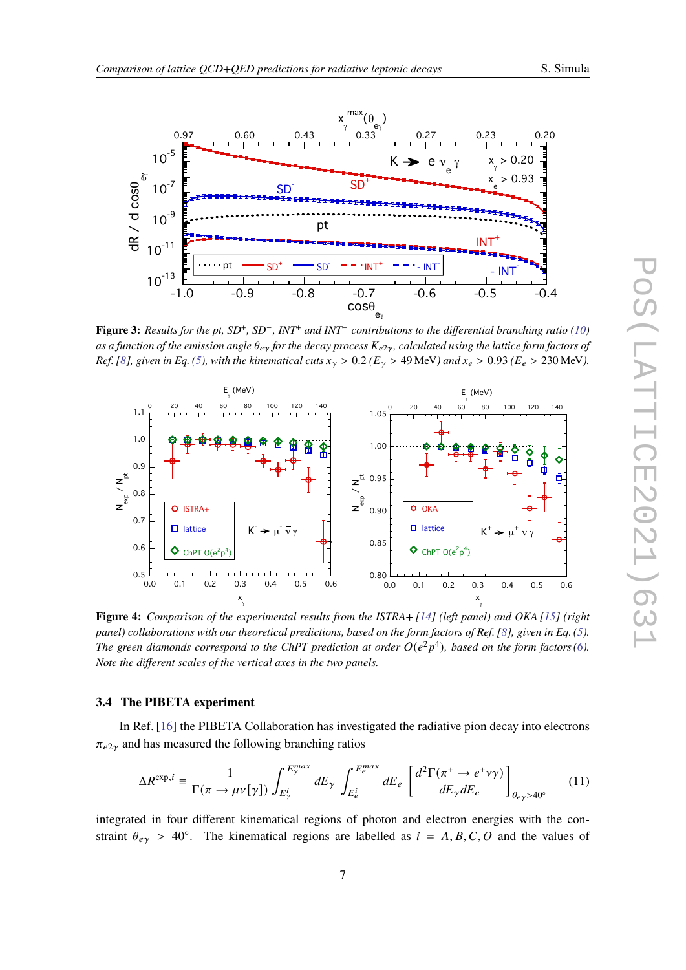<span id="page-6-0"></span>

**Figure 3:** Results for the pt, SD<sup>+</sup>, SD<sup>−</sup>, INT<sup>+</sup> and INT<sup>−</sup> contributions to the differential branching ratio [\(10\)](#page-5-1) as a function of the emission angle  $\theta_{e\gamma}$  for the decay process  $K_{e2\gamma}$ , calculated using the lattice form factors of *Ref.* [\[8\]](#page-10-7), given in Eq. [\(5\)](#page-2-1), with the kinematical cuts  $x_y > 0.2$  ( $E_y > 49$  MeV) and  $x_e > 0.93$  ( $E_e > 230$  MeV).

<span id="page-6-1"></span>

**Figure 4:** *Comparison of the experimental results from the ISTRA+ [\[14\]](#page-10-11) (left panel) and OKA [\[15\]](#page-10-12) (right panel) collaborations with our theoretical predictions, based on the form factors of Ref. [\[8\]](#page-10-7), given in Eq. [\(5\)](#page-2-1). The green diamonds correspond to the ChPT prediction at order*  $O(e^2p^4)$ *, based on the form factors [\(6\)](#page-2-2)*. *Note the different scales of the vertical axes in the two panels.*

### **3.4 The PIBETA experiment**

In Ref. [\[16\]](#page-10-13) the PIBETA Collaboration has investigated the radiative pion decay into electrons  $\pi_{e2y}$  and has measured the following branching ratios

$$
\Delta R^{\exp,i} \equiv \frac{1}{\Gamma(\pi \to \mu \nu[\gamma])} \int_{E_{\gamma}^{i}}^{E_{\gamma}^{max}} dE_{\gamma} \int_{E_{e}^{i}}^{E_{e}^{max}} dE_{e} \left[ \frac{d^{2} \Gamma(\pi^{+} \to e^{+} \nu \gamma)}{dE_{\gamma} dE_{e}} \right]_{\theta_{e\gamma} > 40^{\circ}}
$$
(11)

integrated in four different kinematical regions of photon and electron energies with the constraint  $\theta_{e\gamma} > 40^\circ$ . The kinematical regions are labelled as  $i = A, B, C, O$  and the values of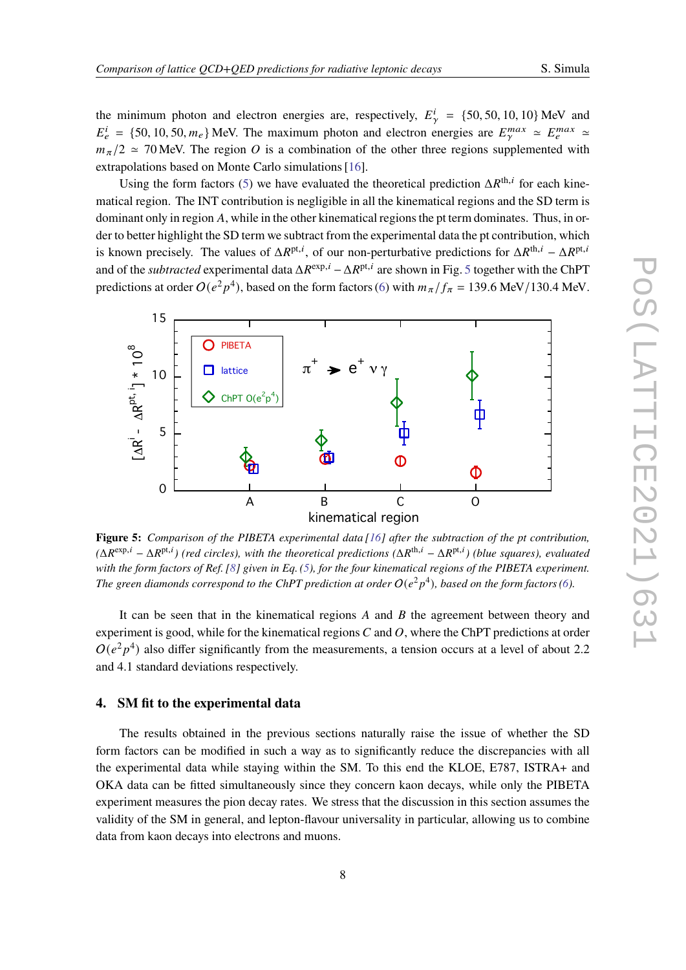the minimum photon and electron energies are, respectively,  $E_{\gamma}^{i} = \{50, 50, 10, 10\}$  MeV and  $E_e^i = \{50, 10, 50, m_e\}$  MeV. The maximum photon and electron energies are  $E_\gamma^{max} \approx E_e^{max} \approx$  $m_\pi/2 \approx 70$  MeV. The region O is a combination of the other three regions supplemented with extrapolations based on Monte Carlo simulations [\[16\]](#page-10-13).

Using the form factors [\(5\)](#page-2-1) we have evaluated the theoretical prediction  $\Delta R^{th,i}$  for each kinematical region. The INT contribution is negligible in all the kinematical regions and the SD term is dominant only in region  $A$ , while in the other kinematical regions the pt term dominates. Thus, in order to better highlight the SD term we subtract from the experimental data the pt contribution, which is known precisely. The values of  $\Delta R^{pt,i}$ , of our non-perturbative predictions for  $\Delta R^{th,i} - \Delta R^{pt,i}$ and of the *subtracted* experimental data  $\Delta R^{\exp,i} - \Delta R^{\text{pt},i}$  are shown in Fig. [5](#page-7-0) together with the ChPT predictions at order  $O(e^2p^4)$ , based on the form factors [\(6\)](#page-2-2) with  $m_\pi/f_\pi = 139.6$  MeV/130.4 MeV.

<span id="page-7-0"></span>

**Figure 5:** *Comparison of the PIBETA experimental data [\[16\]](#page-10-13) after the subtraction of the pt contribution,*  $(\Delta R^{\exp,i} - \Delta R^{\text{pt},i})$  (red circles), with the theoretical predictions  $(\Delta R^{\text{th},i} - \Delta R^{\text{pt},i})$  (blue squares), evaluated *with the form factors of Ref. [\[8\]](#page-10-7) given in Eq. [\(5\)](#page-2-1), for the four kinematical regions of the PIBETA experiment.* The green diamonds correspond to the ChPT prediction at order  $O(e^2p^4)$ , based on the form factors [\(6\)](#page-2-2).

It can be seen that in the kinematical regions  $A$  and  $B$  the agreement between theory and experiment is good, while for the kinematical regions  $C$  and  $O$ , where the ChPT predictions at order  $O(e^2p^4)$  also differ significantly from the measurements, a tension occurs at a level of about 2.2 and 4.1 standard deviations respectively.

### **4. SM fit to the experimental data**

The results obtained in the previous sections naturally raise the issue of whether the SD form factors can be modified in such a way as to significantly reduce the discrepancies with all the experimental data while staying within the SM. To this end the KLOE, E787, ISTRA+ and OKA data can be fitted simultaneously since they concern kaon decays, while only the PIBETA experiment measures the pion decay rates. We stress that the discussion in this section assumes the validity of the SM in general, and lepton-flavour universality in particular, allowing us to combine data from kaon decays into electrons and muons.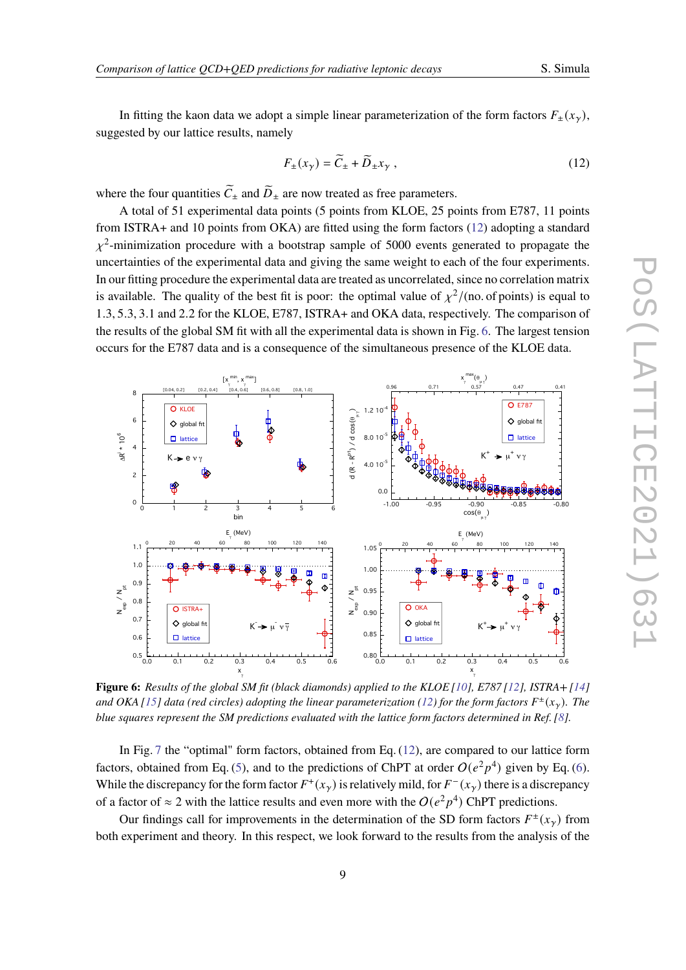In fitting the kaon data we adopt a simple linear parameterization of the form factors  $F_{\pm}(x_{\gamma}),$ suggested by our lattice results, namely

<span id="page-8-0"></span>
$$
F_{\pm}(x_{\gamma}) = \widetilde{C}_{\pm} + \widetilde{D}_{\pm}x_{\gamma} , \qquad (12)
$$

max

where the four quantities  $\tilde{C}_{\pm}$  and  $\tilde{D}_{\pm}$  are now treated as free parameters.

min

max

A total of 51 experimental data points (5 points from KLOE, 25 points from E787, 11 points from ISTRA+ and 10 points from OKA) are fitted using the form factors [\(12\)](#page-8-0) adopting a standard  $\chi^2$ -minimization procedure with a bootstrap sample of 5000 events generated to propagate the uncertainties of the experimental data and giving the same weight to each of the four experiments. In our fitting procedure the experimental data are treated as uncorrelated, since no correlation matrix is available. The quality of the best fit is poor: the optimal value of  $\chi^2/$  (no. of points) is equal to 1.3, 5.3, 3.1 and 2.2 for the KLOE, E787, ISTRA+ and OKA data, respectively. The comparison of the results of the global SM fit with all the experimental data is shown in Fig. [6.](#page-8-1) The largest tension occurs for the E787 data and is a consequence of the simultaneous presence of the KLOE data.

<span id="page-8-1"></span>

**Figure 6:** *Results of the global SM fit (black diamonds) applied to the KLOE [\[10\]](#page-10-9), E787 [\[12\]](#page-10-10), ISTRA+ [\[14\]](#page-10-11)* and OKA [\[15\]](#page-10-12) data (red circles) adopting the linear parameterization [\(12\)](#page-8-0) for the form factors  $F^{\pm}(x_{\gamma})$ . The *blue squares represent the SM predictions evaluated with the lattice form factors determined in Ref. [\[8\]](#page-10-7).*

In Fig. [7](#page-9-0) the "optimal" form factors, obtained from Eq. [\(12\)](#page-8-0), are compared to our lattice form factors, obtained from Eq. [\(5\)](#page-2-1), and to the predictions of ChPT at order  $O(e^2p^4)$  given by Eq. [\(6\)](#page-2-2). While the discrepancy for the form factor  $F^+(x_\gamma)$  is relatively mild, for  $F^-(x_\gamma)$  there is a discrepancy of a factor of  $\approx 2$  with the lattice results and even more with the  $O(e^2p^4)$  ChPT predictions.

Our findings call for improvements in the determination of the SD form factors  $F^{\pm}(x_{\gamma})$  from both experiment and theory. In this respect, we look forward to the results from the analysis of the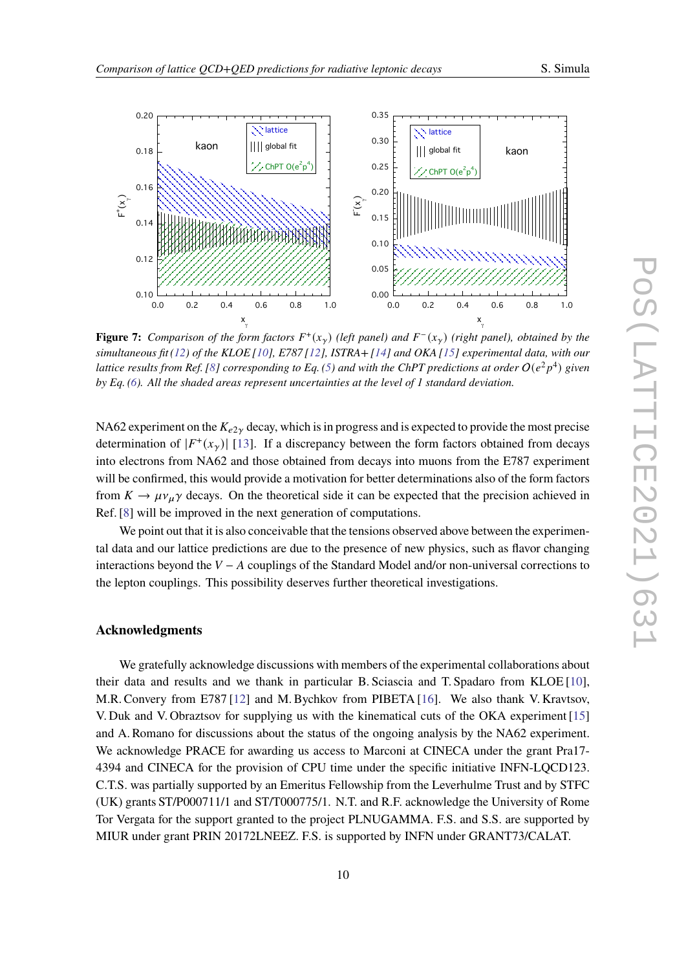

<span id="page-9-0"></span>

**Figure 7:** Comparison of the form factors  $F^+(x_\gamma)$  (left panel) and  $F^-(x_\gamma)$  (right panel), obtained by the *simultaneous fit [\(12\)](#page-8-0) of the KLOE [\[10\]](#page-10-9), E787 [\[12\]](#page-10-10), ISTRA+ [\[14\]](#page-10-11) and OKA [\[15\]](#page-10-12) experimental data, with our lattice results from Ref.* [\[8\]](#page-10-7) corresponding to Eq. [\(5\)](#page-2-1) and with the ChPT predictions at order  $O(e^2p^4)$  given *by Eq. [\(6\)](#page-2-2). All the shaded areas represent uncertainties at the level of 1 standard deviation.*

NA62 experiment on the  $K_{e2y}$  decay, which is in progress and is expected to provide the most precise determination of  $|F^+(x_\gamma)|$  [\[13\]](#page-10-16). If a discrepancy between the form factors obtained from decays into electrons from NA62 and those obtained from decays into muons from the E787 experiment will be confirmed, this would provide a motivation for better determinations also of the form factors from  $K \to \mu \nu_{\mu} \gamma$  decays. On the theoretical side it can be expected that the precision achieved in Ref. [\[8\]](#page-10-7) will be improved in the next generation of computations.

We point out that it is also conceivable that the tensions observed above between the experimental data and our lattice predictions are due to the presence of new physics, such as flavor changing interactions beyond the  $V - A$  couplings of the Standard Model and/or non-universal corrections to the lepton couplings. This possibility deserves further theoretical investigations.

#### **Acknowledgments**

We gratefully acknowledge discussions with members of the experimental collaborations about their data and results and we thank in particular B. Sciascia and T. Spadaro from KLOE [\[10\]](#page-10-9), M.R. Convery from E787 [\[12\]](#page-10-10) and M. Bychkov from PIBETA [\[16\]](#page-10-13). We also thank V. Kravtsov, V. Duk and V. Obraztsov for supplying us with the kinematical cuts of the OKA experiment [\[15\]](#page-10-12) and A. Romano for discussions about the status of the ongoing analysis by the NA62 experiment. We acknowledge PRACE for awarding us access to Marconi at CINECA under the grant Pra17- 4394 and CINECA for the provision of CPU time under the specific initiative INFN-LQCD123. C.T.S. was partially supported by an Emeritus Fellowship from the Leverhulme Trust and by STFC (UK) grants ST/P000711/1 and ST/T000775/1. N.T. and R.F. acknowledge the University of Rome Tor Vergata for the support granted to the project PLNUGAMMA. F.S. and S.S. are supported by MIUR under grant PRIN 20172LNEEZ. F.S. is supported by INFN under GRANT73/CALAT.